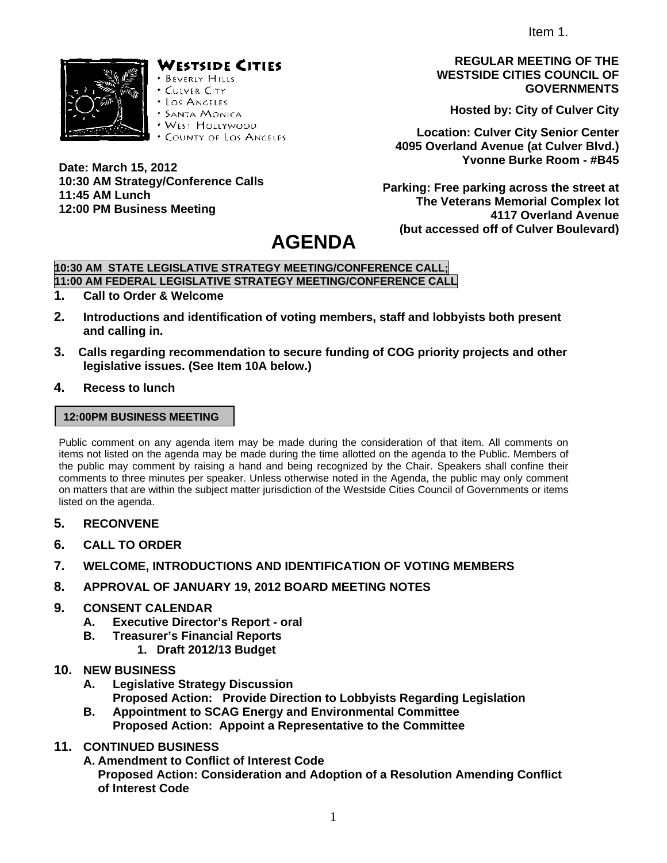Item 1.



**Date: March 15, 2012** 

**11:45 AM Lunch** 

# WESTSIDE CITIES

- **BEVERLY HILLS** CULVER CITY
- · Los Anceles
- **SANTA MONICA**
- · WEST HOLLYWOOD
- · COUNTY OF LOS ANGELES

**REGULAR MEETING OF THE WESTSIDE CITIES COUNCIL OF GOVERNMENTS** 

**Hosted by: City of Culver City** 

**Location: Culver City Senior Center 4095 Overland Avenue (at Culver Blvd.) Yvonne Burke Room - #B45** 

**Parking: Free parking across the street at The Veterans Memorial Complex lot 4117 Overland Avenue (but accessed off of Culver Boulevard)**

# **AGENDA**

# **10:30 AM STATE LEGISLATIVE STRATEGY MEETING/CONFERENCE CALL;**

**11:00 AM FEDERAL LEGISLATIVE STRATEGY MEETING/CONFERENCE CALL** 

**1. Call to Order & Welcome** 

**12:00 PM Business Meeting** 

**10:30 AM Strategy/Conference Calls** 

- **2. Introductions and identification of voting members, staff and lobbyists both present and calling in.**
- **3. Calls regarding recommendation to secure funding of COG priority projects and other legislative issues. (See Item 10A below.)**
- **4. Recess to lunch**

#### **12:00PM BUSINESS MEETING**

Public comment on any agenda item may be made during the consideration of that item. All comments on items not listed on the agenda may be made during the time allotted on the agenda to the Public. Members of the public may comment by raising a hand and being recognized by the Chair. Speakers shall confine their comments to three minutes per speaker. Unless otherwise noted in the Agenda, the public may only comment on matters that are within the subject matter jurisdiction of the Westside Cities Council of Governments or items listed on the agenda.

- **5. RECONVENE**
- **6. CALL TO ORDER**
- **7. WELCOME, INTRODUCTIONS AND IDENTIFICATION OF VOTING MEMBERS**
- **8. APPROVAL OF JANUARY 19, 2012 BOARD MEETING NOTES**

## **9. CONSENT CALENDAR**

- **A. Executive Director's Report oral**
- **B. Treasurer's Financial Reports** 
	- **1. Draft 2012/13 Budget**

#### **10. NEW BUSINESS**

- **A. Legislative Strategy Discussion Proposed Action: Provide Direction to Lobbyists Regarding Legislation**
- **B. Appointment to SCAG Energy and Environmental Committee Proposed Action: Appoint a Representative to the Committee**
- **11. CONTINUED BUSINESS** 
	- **A. Amendment to Conflict of Interest Code**

**Proposed Action: Consideration and Adoption of a Resolution Amending Conflict of Interest Code**